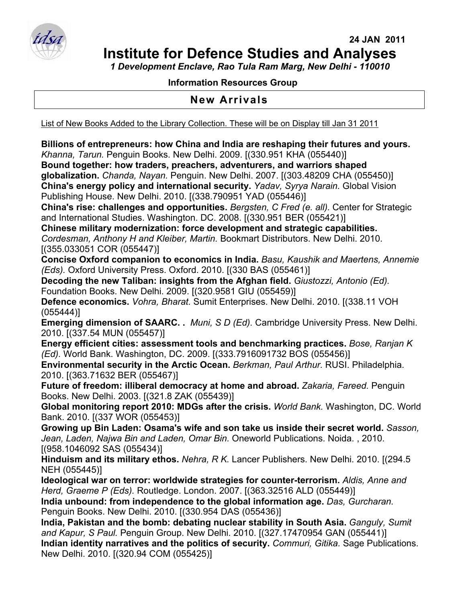

*1 Development Enclave, Rao Tula Ram Marg, New Delhi - 110010* 

## **Information Resources Group**

## **New Arrivals**

List of New Books Added to the Library Collection. These will be on Display till Jan 31 2011

**Billions of entrepreneurs: how China and India are reshaping their futures and yours.**  *Khanna, Tarun.* Penguin Books. New Delhi. 2009. [(330.951 KHA (055440)]

**Bound together: how traders, preachers, adventurers, and warriors shaped globalization.** *Chanda, Nayan.* Penguin. New Delhi. 2007. [(303.48209 CHA (055450)] **China's energy policy and international security.** *Yadav, Syrya Narain.* Global Vision Publishing House. New Delhi. 2010. [(338.790951 YAD (055446)]

**China's rise: challenges and opportunities.** *Bergsten, C Fred (e. all).* Center for Strategic and International Studies. Washington. DC. 2008. [(330.951 BER (055421)]

**Chinese military modernization: force development and strategic capabilities.**  *Cordesman, Anthony H and Kleiber, Martin.* Bookmart Distributors. New Delhi. 2010. [(355.033051 COR (055447)]

**Concise Oxford companion to economics in India.** *Basu, Kaushik and Maertens, Annemie (Eds).* Oxford University Press. Oxford. 2010. [(330 BAS (055461)]

**Decoding the new Taliban: insights from the Afghan field.** *Giustozzi, Antonio (Ed).*  Foundation Books. New Delhi. 2009. [(320.9581 GIU (055459)]

**Defence economics.** *Vohra, Bharat.* Sumit Enterprises. New Delhi. 2010. [(338.11 VOH (055444)]

**Emerging dimension of SAARC. .** *Muni, S D (Ed).* Cambridge University Press. New Delhi. 2010. [(337.54 MUN (055457)]

**Energy efficient cities: assessment tools and benchmarking practices.** *Bose, Ranjan K (Ed).* World Bank. Washington, DC. 2009. [(333.7916091732 BOS (055456)]

**Environmental security in the Arctic Ocean.** *Berkman, Paul Arthur.* RUSI. Philadelphia. 2010. [(363.71632 BER (055467)]

**Future of freedom: illiberal democracy at home and abroad.** *Zakaria, Fareed.* Penguin Books. New Delhi. 2003. [(321.8 ZAK (055439)]

**Global monitoring report 2010: MDGs after the crisis.** *World Bank.* Washington, DC. World Bank. 2010. [(337 WOR (055453)]

**Growing up Bin Laden: Osama's wife and son take us inside their secret world.** *Sasson, Jean, Laden, Najwa Bin and Laden, Omar Bin.* Oneworld Publications. Noida. , 2010. [(958.1046092 SAS (055434)]

**Hinduism and its military ethos.** *Nehra, R K.* Lancer Publishers. New Delhi. 2010. [(294.5 NEH (055445)]

**Ideological war on terror: worldwide strategies for counter-terrorism.** *Aldis, Anne and Herd, Graeme P (Eds).* Routledge. London. 2007. [(363.32516 ALD (055449)]

**India unbound: from independence to the global information age.** *Das, Gurcharan.*  Penguin Books. New Delhi. 2010. [(330.954 DAS (055436)]

**India, Pakistan and the bomb: debating nuclear stability in South Asia.** *Ganguly, Sumit and Kapur, S Paul.* Penguin Group. New Delhi. 2010. [(327.17470954 GAN (055441)] **Indian identity narratives and the politics of security.** *Commuri, Gitika.* Sage Publications. New Delhi. 2010. [(320.94 COM (055425)]